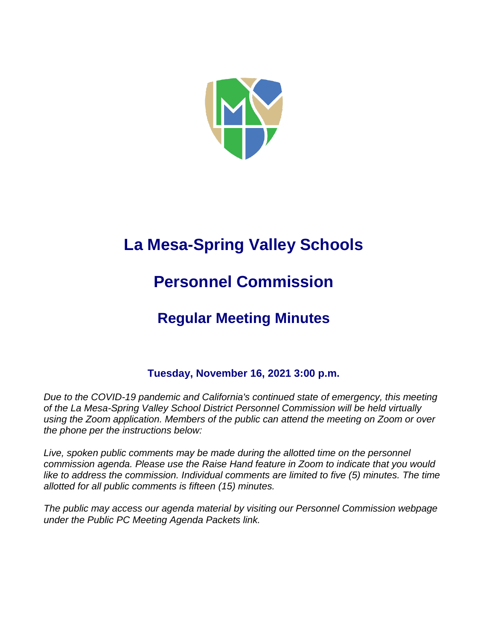

# **La Mesa-Spring Valley Schools**

# **Personnel Commission**

# **Regular Meeting Minutes**

# **Tuesday, November 16, 2021 3:00 p.m.**

*Due to the COVID-19 pandemic and California's continued state of emergency, this meeting of the La Mesa-Spring Valley School District Personnel Commission will be held virtually using the Zoom application. Members of the public can attend the meeting on Zoom or over the phone per the instructions below:*

Live, spoken public comments may be made during the allotted time on the personnel *commission agenda. Please use the Raise Hand feature in Zoom to indicate that you would*  like to address the commission. Individual comments are limited to five (5) minutes. The time *allotted for all public comments is fifteen (15) minutes.*

*The public may access our agenda material by visiting our Personnel Commission webpage under the Public PC Meeting Agenda Packets link.*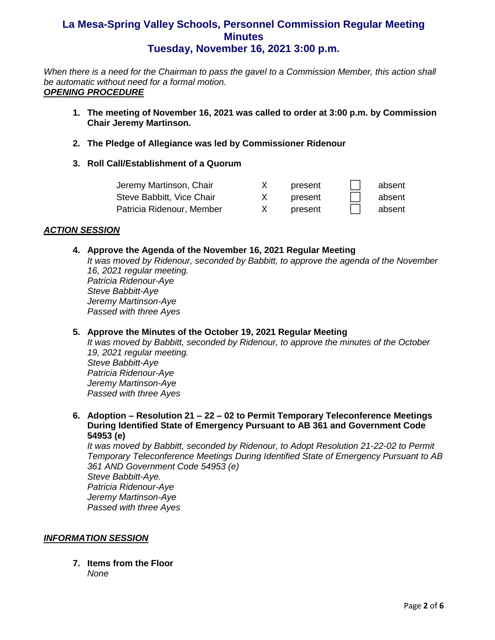*When there is a need for the Chairman to pass the gavel to a Commission Member, this action shall be automatic without need for a formal motion. OPENING PROCEDURE*

- **1. The meeting of November 16, 2021 was called to order at 3:00 p.m. by Commission Chair Jeremy Martinson.**
- **2. The Pledge of Allegiance was led by Commissioner Ridenour**
- **3. Roll Call/Establishment of a Quorum**

| Jeremy Martinson, Chair   | present | absent |
|---------------------------|---------|--------|
| Steve Babbitt, Vice Chair | present | absent |
| Patricia Ridenour, Member | present | absent |

#### *ACTION SESSION*

#### **4. Approve the Agenda of the November 16, 2021 Regular Meeting**

*It was moved by Ridenour, seconded by Babbitt, to approve the agenda of the November 16, 2021 regular meeting. Patricia Ridenour-Aye Steve Babbitt-Aye Jeremy Martinson-Aye Passed with three Ayes*

#### **5. Approve the Minutes of the October 19, 2021 Regular Meeting**

*It was moved by Babbitt, seconded by Ridenour, to approve the minutes of the October 19, 2021 regular meeting. Steve Babbitt-Aye Patricia Ridenour-Aye Jeremy Martinson-Aye Passed with three Ayes*

**6. Adoption – Resolution 21 – 22 – 02 to Permit Temporary Teleconference Meetings During Identified State of Emergency Pursuant to AB 361 and Government Code 54953 (e)**

*It was moved by Babbitt, seconded by Ridenour, to Adopt Resolution 21-22-02 to Permit Temporary Teleconference Meetings During Identified State of Emergency Pursuant to AB 361 AND Government Code 54953 (e) Steve Babbitt-Aye. Patricia Ridenour-Aye Jeremy Martinson-Aye Passed with three Ayes*

#### *INFORMATION SESSION*

**7. Items from the Floor**  *None*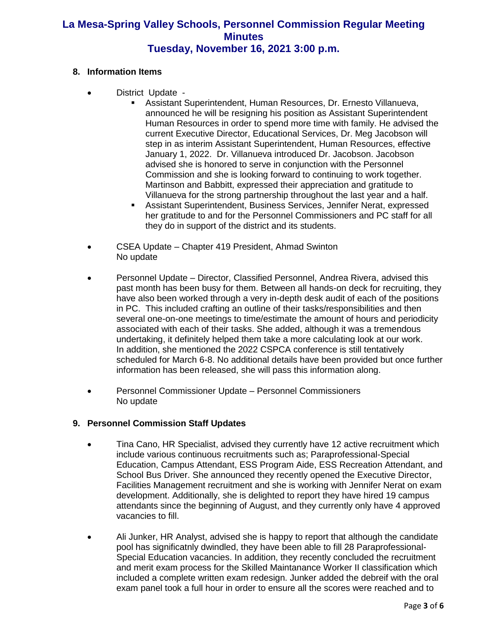#### **8. Information Items**

- District Update
	- **EXECTS:** Assistant Superintendent, Human Resources, Dr. Ernesto Villanueva, announced he will be resigning his position as Assistant Superintendent Human Resources in order to spend more time with family. He advised the current Executive Director, Educational Services, Dr. Meg Jacobson will step in as interim Assistant Superintendent, Human Resources, effective January 1, 2022. Dr. Villanueva introduced Dr. Jacobson. Jacobson advised she is honored to serve in conjunction with the Personnel Commission and she is looking forward to continuing to work together. Martinson and Babbitt, expressed their appreciation and gratitude to Villanueva for the strong partnership throughout the last year and a half.
	- Assistant Superintendent, Business Services, Jennifer Nerat, expressed her gratitude to and for the Personnel Commissioners and PC staff for all they do in support of the district and its students.
- CSEA Update Chapter 419 President, Ahmad Swinton No update
- Personnel Update Director, Classified Personnel, Andrea Rivera, advised this past month has been busy for them. Between all hands-on deck for recruiting, they have also been worked through a very in-depth desk audit of each of the positions in PC. This included crafting an outline of their tasks/responsibilities and then several one-on-one meetings to time/estimate the amount of hours and periodicity associated with each of their tasks. She added, although it was a tremendous undertaking, it definitely helped them take a more calculating look at our work. In addition, she mentioned the 2022 CSPCA conference is still tentatively scheduled for March 6-8. No additional details have been provided but once further information has been released, she will pass this information along.
- Personnel Commissioner Update Personnel Commissioners No update

#### **9. Personnel Commission Staff Updates**

- Tina Cano, HR Specialist, advised they currently have 12 active recruitment which include various continuous recruitments such as; Paraprofessional-Special Education, Campus Attendant, ESS Program Aide, ESS Recreation Attendant, and School Bus Driver. She announced they recently opened the Executive Director, Facilities Management recruitment and she is working with Jennifer Nerat on exam development. Additionally, she is delighted to report they have hired 19 campus attendants since the beginning of August, and they currently only have 4 approved vacancies to fill.
- Ali Junker, HR Analyst, advised she is happy to report that although the candidate pool has significatnly dwindled, they have been able to fill 28 Paraprofessional-Special Education vacancies. In addition, they recently concluded the recruitment and merit exam process for the Skilled Maintanance Worker II classification which included a complete written exam redesign. Junker added the debreif with the oral exam panel took a full hour in order to ensure all the scores were reached and to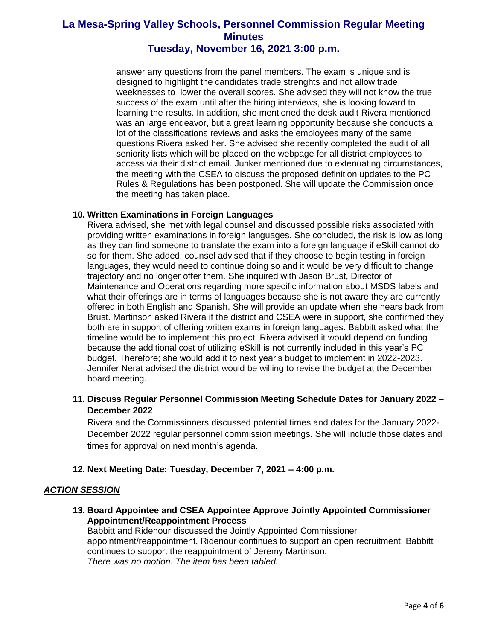answer any questions from the panel members. The exam is unique and is designed to highlight the candidates trade strenghts and not allow trade weeknesses to lower the overall scores. She advised they will not know the true success of the exam until after the hiring interviews, she is looking foward to learning the results. In addition, she mentioned the desk audit Rivera mentioned was an large endeavor, but a great learning opportunity because she conducts a lot of the classifications reviews and asks the employees many of the same questions Rivera asked her. She advised she recently completed the audit of all seniority lists which will be placed on the webpage for all district employees to access via their district email. Junker mentioned due to extenuating circumstances, the meeting with the CSEA to discuss the proposed definition updates to the PC Rules & Regulations has been postponed. She will update the Commission once the meeting has taken place.

#### **10. Written Examinations in Foreign Languages**

Rivera advised, she met with legal counsel and discussed possible risks associated with providing written examinations in foreign languages. She concluded, the risk is low as long as they can find someone to translate the exam into a foreign language if eSkill cannot do so for them. She added, counsel advised that if they choose to begin testing in foreign languages, they would need to continue doing so and it would be very difficult to change trajectory and no longer offer them. She inquired with Jason Brust, Director of Maintenance and Operations regarding more specific information about MSDS labels and what their offerings are in terms of languages because she is not aware they are currently offered in both English and Spanish. She will provide an update when she hears back from Brust. Martinson asked Rivera if the district and CSEA were in support, she confirmed they both are in support of offering written exams in foreign languages. Babbitt asked what the timeline would be to implement this project. Rivera advised it would depend on funding because the additional cost of utilizing eSkill is not currently included in this year's PC budget. Therefore; she would add it to next year's budget to implement in 2022-2023. Jennifer Nerat advised the district would be willing to revise the budget at the December board meeting.

**11. Discuss Regular Personnel Commission Meeting Schedule Dates for January 2022 – December 2022**

Rivera and the Commissioners discussed potential times and dates for the January 2022- December 2022 regular personnel commission meetings. She will include those dates and times for approval on next month's agenda.

#### **12. Next Meeting Date: Tuesday, December 7, 2021 – 4:00 p.m.**

#### *ACTION SESSION*

**13. Board Appointee and CSEA Appointee Approve Jointly Appointed Commissioner Appointment/Reappointment Process**

Babbitt and Ridenour discussed the Jointly Appointed Commissioner appointment/reappointment. Ridenour continues to support an open recruitment; Babbitt continues to support the reappointment of Jeremy Martinson. *There was no motion. The item has been tabled.*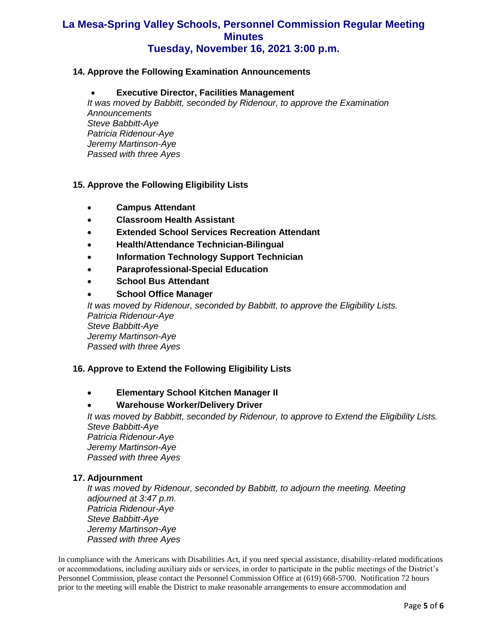#### **14. Approve the Following Examination Announcements**

#### • **Executive Director, Facilities Management**

*It was moved by Babbitt, seconded by Ridenour, to approve the Examination Announcements Steve Babbitt-Aye Patricia Ridenour-Aye Jeremy Martinson-Aye Passed with three Ayes*

#### **15. Approve the Following Eligibility Lists**

- **Campus Attendant**
- **Classroom Health Assistant**
- **Extended School Services Recreation Attendant**
- **Health/Attendance Technician-Bilingual**
- **Information Technology Support Technician**
- **Paraprofessional-Special Education**
- **School Bus Attendant**
- **School Office Manager**

*It was moved by Ridenour, seconded by Babbitt, to approve the Eligibility Lists. Patricia Ridenour-Aye Steve Babbitt-Aye Jeremy Martinson-Aye Passed with three Ayes*

#### **16. Approve to Extend the Following Eligibility Lists**

• **Elementary School Kitchen Manager II**

#### • **Warehouse Worker/Delivery Driver**

*It was moved by Babbitt, seconded by Ridenour, to approve to Extend the Eligibility Lists. Steve Babbitt-Aye Patricia Ridenour-Aye Jeremy Martinson-Aye Passed with three Ayes*

#### **17. Adjournment**

*It was moved by Ridenour, seconded by Babbitt, to adjourn the meeting. Meeting adjourned at 3:47 p.m. Patricia Ridenour-Aye Steve Babbitt-Aye Jeremy Martinson-Aye Passed with three Ayes*

In compliance with the Americans with Disabilities Act, if you need special assistance, disability-related modifications or accommodations, including auxiliary aids or services, in order to participate in the public meetings of the District's Personnel Commission, please contact the Personnel Commission Office at (619) 668-5700. Notification 72 hours prior to the meeting will enable the District to make reasonable arrangements to ensure accommodation and